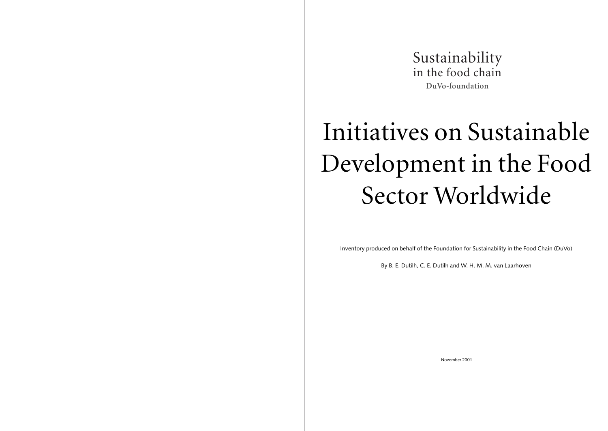*Colophon*

*This file has been issued by the foundation for Sustainability in the food Chain, DuVo. DuVo-members are: Albert Heijn, Avebe, Campina, Cebeco, Cehave, Cosun, CSM, DSM, The Greenery, Heineken Nederland, H.J. Heinz Benelux, McDonald's Nederland, Perfetti Van Melle, Numico, Sara Lee/DE, Unilever Nederland. For more information please contact Chris Dutilh (chris@dutilh.com). Suggestions or amendments are welcome.*

*Lay-out by Van Rosmalen & Schenk, Amsterdam.*



# Initiatives on Sustainable Development in the Food Sector Worldwide

Inventory produced on behalf of the Foundation for Sustainability in the Food Chain (DuVo)

By B. E. Dutilh, C. E. Dutilh and W. H. M. M. van Laarhoven



November 2001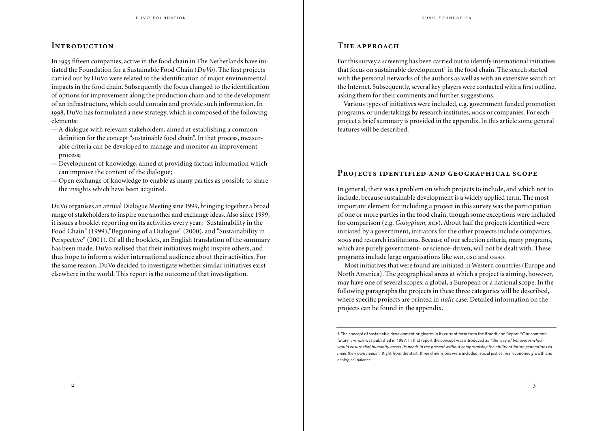# **INTRODUCTION**

In 1995 fifteen companies, active in the food chain in The Netherlands have initiated the Foundation for a Sustainable Food Chain (*DuVo*). The first projects carried out by DuVo were related to the identification of major environmental impacts in the food chain. Subsequently the focus changed to the identification of options for improvement along the production chain and to the development of an infrastructure, which could contain and provide such information. In , DuVo has formulated a new strategy, which is composed of the following elements:

- –– A dialogue with relevant stakeholders, aimed at establishing a common definition for the concept "sustainable food chain". In that process, measurable criteria can be developed to manage and monitor an improvement process;
- –– Development of knowledge, aimed at providing factual information which can improve the content of the dialogue;
- –– Open exchange of knowledge to enable as many parties as possible to share the insights which have been acquired.

DuVo organises an annual Dialogue Meeting sine 1999, bringing together a broad range of stakeholders to inspire one another and exchange ideas. Also since 1999, it issues a booklet reporting on its activities every year: "Sustainability in the Food Chain" (1999),"Beginning of a Dialogue" (2000), and "Sustainability in Perspective" (2001). Of all the booklets, an English translation of the summary has been made. DuVo realised that their initiatives might inspire others, and thus hope to inform a wider international audience about their activities. For the same reason, DuVo decided to investigate whether similar initiatives exist elsewhere in the world. This report is the outcome of that investigation.

# THE APPROACH

For this survey a screening has been carried out to identify international initiatives that focus on sustainable development<sup>1</sup> in the food chain. The search started with the personal networks of the authors as well as with an extensive search on the Internet. Subsequently, several key players were contacted with a first outline, asking them for their comments and further suggestions.

Various types of initiatives were included, e.g. government funded promotion programs, or undertakings by research institutes, nogs or companies. For each project a brief summary is provided in the appendix. In this article some general features will be described.

## PROJECTS IDENTIFIED AND GEOGRAPHICAL SCOPE

In general, there was a problem on which projects to include, and which not to include, because sustainable development is a widely applied term. The most important element for including a project in this survey was the participation of one or more parties in the food chain, though some exceptions were included for comparison (e.g. *Gossypium*, *RCP*). About half the projects identified were initiated by a government, initiators for the other projects include companies, s and research institutions. Because of our selection criteria, many programs, which are purely government- or science-driven, will not be dealt with. These programs include large organisations like FAO, CSD and OESO.

Most initiatives that were found are initiated in Western countries (Europe and North America). The geographical areas at which a project is aiming, however, may have one of several scopes: a global, a European or a national scope. In the following paragraphs the projects in these three categories will be described, where specific projects are printed in *italic* case. Detailed information on the projects can be found in the appendix.

<sup>1</sup> The concept of sustainable development originates in its current form from the Brundtland Report "Our common future", which was published in 1987. In that report the concept was introduced as *"the way of behaviour which would ensure that humanity meets its needs in the present without compromising the ability of future generations to meet their own needs".* Right from the start, three dimensions were included: social justice, real economic growth and ecological balance.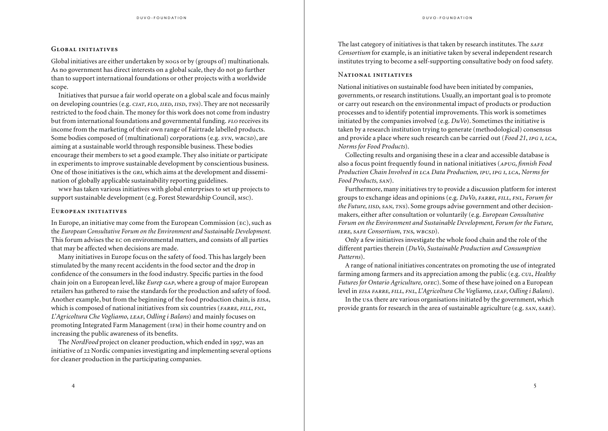#### GLOBAL INITIATIVES

Global initiatives are either undertaken by  $N$  s or by (groups of) multinationals. As no government has direct interests on a global scale, they do not go further than to support international foundations or other projects with a worldwide scope.

Initiatives that pursue a fair world operate on a global scale and focus mainly on developing countries (e.g. CIAT, FLO, IIED, IISD, TNS). They are not necessarily restricted to the food chain. The money for this work does not come from industry but from international foundations and governmental funding. *FLO* receives its income from the marketing of their own range of Fairtrade labelled products. Some bodies composed of (multinational) corporations (e.g.  $svn$ ,  $wBCSD$ ), are aiming at a sustainable world through responsible business. These bodies encourage their members to set a good example. They also initiate or participate in experiments to improve sustainable development by conscientious business. One of those initiatives is the GRI, which aims at the development and dissemination of globally applicable sustainability reporting guidelines.

wwe has taken various initiatives with global enterprises to set up projects to support sustainable development (e.g. Forest Stewardship Council, Msc).

### EUROPEAN INITIATIVES

In Europe, an initiative may come from the European Commission  $(EC)$ , such as the *European Consultative Forum on the Environment and Sustainable Development.* This forum advises the EC on environmental matters, and consists of all parties that may be affected when decisions are made.

Many initiatives in Europe focus on the safety of food. This has largely been stimulated by the many recent accidents in the food sector and the drop in confidence of the consumers in the food industry. Specific parties in the food chain join on a European level, like *Eurep GAP*, where a group of major European retailers has gathered to raise the standards for the production and safety of food. Another example, but from the beginning of the food production chain, is *EISA*, which is composed of national initiatives from six countries (FARRE, FILL, FNL, *L'Agricoltura Che Vogliamo, LEAF, Odling i Balans*) and mainly focuses on promoting Integrated Farm Management (IFM) in their home country and on increasing the public awareness of its benefits.

The *NordFood* project on cleaner production, which ended in 1997, was an initiative of 22 Nordic companies investigating and implementing several options for cleaner production in the participating companies.

The last category of initiatives is that taken by research institutes. The SAFE *Consortium* for example, is an initiative taken by several independent research institutes trying to become a self-supporting consultative body on food safety.

#### NATIONAL INITIATIVES

National initiatives on sustainable food have been initiated by companies, governments, or research institutions. Usually, an important goal is to promote or carry out research on the environmental impact of products or production processes and to identify potential improvements. This work is sometimes initiated by the companies involved (e.g. *DuVo*). Sometimes the initiative is taken by a research institution trying to generate (methodological) consensus and provide a place where such research can be carried out (*Food 21*, *IPG I*, *LCA*, *Norms for Food Products*).

Collecting results and organising these in a clear and accessible database is also a focus point frequently found in national initiatives (*APUG*, *finnish Food Production Chain Involved in LCA Data Production, IPU, IPG I, LCA, Norms for Food Products, SAN*).

Furthermore, many initiatives try to provide a discussion platform for interest groups to exchange ideas and opinions (e.g. *DuVo*, *FARRE*, *FILL*, *FNL*, *Forum for the Future*, *IISD*, *SAN*, *TNS*). Some groups advise government and other decisionmakers, either after consultation or voluntarily (e.g. *European Consultative Forum on the Environment and Sustainable Development*, *Forum for the Future*, *IERE, SAFE Consortium, TNS, WBCSD).* 

Only a few initiatives investigate the whole food chain and the role of the different parties therein (*DuVo*, *Sustainable Production and Consumption Patterns*).

A range of national initiatives concentrates on promoting the use of integrated farming among farmers and its appreciation among the public (e.g. *CUL*, *Healthy Futures for Ontario Agriculture, OFEC*). Some of these have joined on a European level in *EISA FARRE, FILL, FNL, L'Agricoltura Che Vogliamo, LEAF, Odling i Balans*).

In the usa there are various organisations initiated by the government, which provide grants for research in the area of sustainable agriculture (e.g.  $SAN, SARE$ ).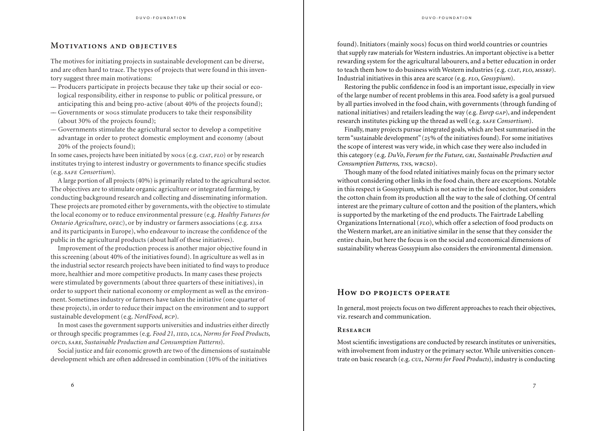# **MOTIVATIONS AND OBJECTIVES**

The motives for initiating projects in sustainable development can be diverse, and are often hard to trace. The types of projects that were found in this inventory suggest three main motivations:

- –– Producers participate in projects because they take up their social or ecological responsibility, either in response to public or political pressure, or anticipating this and being pro-active (about 40% of the projects found);
- Governments or nogs stimulate producers to take their responsibility (about 30% of the projects found);
- –– Governments stimulate the agricultural sector to develop a competitive advantage in order to protect domestic employment and economy (about 20% of the projects found);

In some cases, projects have been initiated by  $Nogs$  (e.g.  $CIAT$ ,  $FLO$ ) or by research institutes trying to interest industry or governments to finance specific studies (e.g. *Consortium*).

A large portion of all projects (40%) is primarily related to the agricultural sector. The objectives are to stimulate organic agriculture or integrated farming, by conducting background research and collecting and disseminating information. These projects are promoted either by governments, with the objective to stimulate the local economy or to reduce environmental pressure (e.g. *Healthy Futures for Ontario Agriculture, OFEC*), or by industry or farmers associations (e.g. *EISA* and its participants in Europe), who endeavour to increase the confidence of the public in the agricultural products (about half of these initiatives).

Improvement of the production process is another major objective found in this screening (about 40% of the initiatives found). In agriculture as well as in the industrial sector research projects have been initiated to find ways to produce more, healthier and more competitive products. In many cases these projects were stimulated by governments (about three quarters of these initiatives), in order to support their national economy or employment as well as the environment. Sometimes industry or farmers have taken the initiative (one quarter of these projects), in order to reduce their impact on the environment and to support sustainable development (e.g. *NordFood, RCP*).

In most cases the government supports universities and industries either directly or through specific programmes (e.g. *Food 21*, *HED*, *LCA*, *Norms for Food Products*, , , *Sustainable Production and Consumption Patterns*).

Social justice and fair economic growth are two of the dimensions of sustainable development which are often addressed in combination (10% of the initiatives

 $\sim$  6

found). Initiators (mainly nogs) focus on third world countries or countries that supply raw materials for Western industries. An important objective is a better rewarding system for the agricultural labourers, and a better education in order to teach them how to do business with Western industries (e.g. CIAT, FLO, MSSRF). Industrial initiatives in this area are scarce (e.g. *FLO*, *Gossypium*).

Restoring the public confidence in food is an important issue, especially in view of the large number of recent problems in this area. Food safety is a goal pursued by all parties involved in the food chain, with governments (through funding of national initiatives) and retailers leading the way (e.g. *Eurep GAP*), and independent research institutes picking up the thread as well (e.g. *SAFE Consortium*).

Finally, many projects pursue integrated goals, which are best summarised in the term "sustainable development" ( $25\%$  of the initiatives found). For some initiatives the scope of interest was very wide, in which case they were also included in this category (e.g. *DuVo*, *Forum for the Future*, *GRI*, *Sustainable Production and Consumption Patterns*, TNS, WBCSD).

Though many of the food related initiatives mainly focus on the primary sector without considering other links in the food chain, there are exceptions. Notable in this respect is Gossypium, which is not active in the food sector, but considers the cotton chain from its production all the way to the sale of clothing. Of central interest are the primary culture of cotton and the position of the planters, which is supported by the marketing of the end products. The Fairtrade Labelling Organizations International ( $FLO$ ), which offer a selection of food products on the Western market, are an initiative similar in the sense that they consider the entire chain, but here the focus is on the social and economical dimensions of sustainability whereas Gossypium also considers the environmental dimension.

# **HOW DO PROJECTS OPERATE**

In general, most projects focus on two different approaches to reach their objectives, viz. research and communication.

#### **RESEARCH**

Most scientific investigations are conducted by research institutes or universities, with involvement from industry or the primary sector. While universities concentrate on basic research (e.g. *cut, Norms for Food Products*), industry is conducting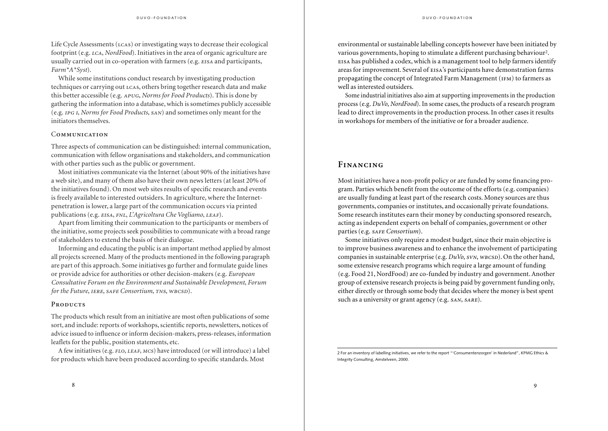Life Cycle Assessments  $(L\text{cas})$  or investigating ways to decrease their ecological footprint (e.g. *LCA*, *NordFood*). Initiatives in the area of organic agriculture are usually carried out in co-operation with farmers (e.g. EISA and participants, *Farm\*A\*Syst*).

While some institutions conduct research by investigating production techniques or carrying out LCAS, others bring together research data and make this better accessible (e.g. , *Norms for Food Products*). This is done by gathering the information into a database, which is sometimes publicly accessible (e.g. *IPG I, Norms for Food Products, SAN*) and sometimes only meant for the initiators themselves.

# **COMMUNICATION**

Three aspects of communication can be distinguished: internal communication, communication with fellow organisations and stakeholders, and communication with other parties such as the public or government.

Most initiatives communicate via the Internet (about 90% of the initiatives have a web site), and many of them also have their own news letters (at least 20% of the initiatives found). On most web sites results of specific research and events is freely available to interested outsiders. In agriculture, where the Internetpenetration is lower, a large part of the communication occurs via printed publications (e.g. *EISA, FNL, L'Agricoltura Che Vogliamo, LEAF*).

Apart from limiting their communication to the participants or members of the initiative, some projects seek possibilities to communicate with a broad range of stakeholders to extend the basis of their dialogue.

Informing and educating the public is an important method applied by almost all projects screened. Many of the products mentioned in the following paragraph are part of this approach. Some initiatives go further and formulate guide lines or provide advice for authorities or other decision-makers (e.g. *European Consultative Forum on the Environment and Sustainable Development*, *Forum for the Future, LERE, SAFE Consortium, TNS, WBCSD).* 

# PRODUCTS

The products which result from an initiative are most often publications of some sort, and include: reports of workshops, scientific reports, newsletters, notices of advice issued to influence or inform decision-makers, press-releases, information leaflets for the public, position statements, etc.

A few initiatives (e.g.  $FLO$ ,  $LEAF$ ,  $MCS$ ) have introduced (or will introduce) a label for products which have been produced according to specific standards. Most

environmental or sustainable labelling concepts however have been initiated by various governments, hoping to stimulate a different purchasing behaviour2. has published a codex, which is a management tool to help farmers identify areas for improvement. Several of EISA's participants have demonstration farms propagating the concept of Integrated Farm Management (IFM) to farmers as well as interested outsiders.

Some industrial initiatives also aim at supporting improvements in the production process (e.g. *DuVo*, *NordFood*). In some cases, the products of a research program lead to direct improvements in the production process. In other cases it results in workshops for members of the initiative or for a broader audience.

# **FINANCING**

Most initiatives have a non-profit policy or are funded by some financing program. Parties which benefit from the outcome of the efforts (e.g. companies) are usually funding at least part of the research costs. Money sources are thus governments, companies or institutes, and occasionally private foundations. Some research institutes earn their money by conducting sponsored research, acting as independent experts on behalf of companies, government or other parties (e.g. *SAFE Consortium*).

Some initiatives only require a modest budget, since their main objective is to improve business awareness and to enhance the involvement of participating companies in sustainable enterprise (e.g. *DuVo*, *svN*, *wBCSD*). On the other hand, some extensive research programs which require a large amount of funding (e.g. Food 21, NordFood) are co-funded by industry and government. Another group of extensive research projects is being paid by government funding only, either directly or through some body that decides where the money is best spent such as a university or grant agency (e.g.  $s_{AN}$ ,  $s_{ARE}$ ).

<sup>2</sup> For an inventory of labelling initiatives, we refer to the report "'Consumentenzorgen' in Nederland", KPMG Ethics & Integrity Consulting, Amstelveen, 2000.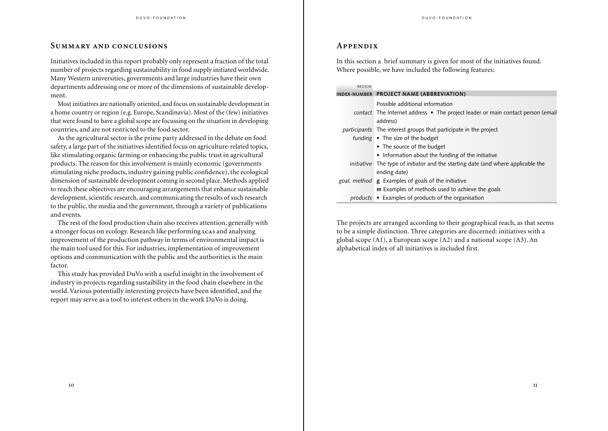# **SUMMARY AND CONCLUSIONS**

Initiatives included in this report probably only represent a fraction of the total number of projects regarding sustainability in food supply initiated worldwide. Many Western universities, governments and large industries have their own departments addressing one or more of the dimensions of sustainable development.

Most initiatives are nationally oriented, and focus on sustainable development in a home country or region (e.g. Europe, Scandinavia). Most of the (few) initiatives that were found to have a global scope are focussing on the situation in developing countries, and are not restricted to the food sector.

As the agricultural sector is the prime party addressed in the debate on food safety, a large part of the initiatives identified focus on agriculture-related topics, like stimulating organic farming or enhancing the public trust in agricultural products. The reason for this involvement is mainly economic (governments stimulating niche products, industry gaining public confidence), the ecological dimension of sustainable development coming in second place. Methods applied to reach these objectives are encouraging arrangements that enhance sustainable development, scientific research, and communicating the results of such research to the public, the media and the government, through a variety of publications and events.

The rest of the food production chain also receives attention, generally with a stronger focus on ecology. Research like performing LCAS and analysing improvement of the production pathway in terms of environmental impact is the main tool used for this. For industries, implementation of improvement options and communication with the public and the authorities is the main factor.

This study has provided DuVo with a useful insight in the involvement of industry in projects regarding sustaibility in the food chain elsewhere in the world. Various potentially interesting projects have been identified, and the report may serve as a tool to interest others in the work DuVo is doing.

# **A**

In this section a brief summary is given for most of the initiatives found. Where possible, we have included the following features:

| <b>REGION</b> |                                                                                         |
|---------------|-----------------------------------------------------------------------------------------|
|               | INDEX-NUMBER PROJECT NAME (ABBREVIATION)                                                |
|               | Possible additional information                                                         |
|               | contact The Internet address • The project leader or main contact person (email         |
|               | address)                                                                                |
|               | participants The interest groups that participate in the project                        |
|               | funding $\bullet$ The size of the budget                                                |
|               | • The source of the budget                                                              |
|               | • Information about the funding of the initiative                                       |
|               | <i>initiative</i> The type of initiator and the starting date (and where applicable the |
|               | ending date)                                                                            |
|               | goal, method <b>g</b> Examples of goals of the initiative                               |
|               | <b>m</b> Examples of methods used to achieve the goals                                  |
|               | <i>products</i> • Examples of products of the organisation                              |

The projects are arranged according to their geographical reach, as that seems to be a simple distinction. Three categories are discerned: initiatives with a global scope (A1), a European scope (A2) and a national scope (A3). An alphabetical index of all initiatives is included first.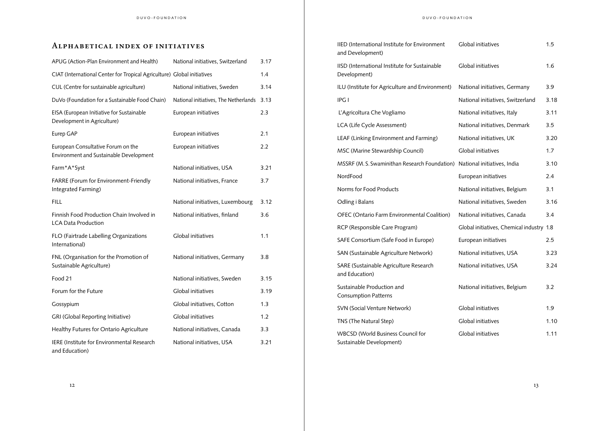# **ALPHABETICAL INDEX OF INITIATIVES**

| APUG (Action-Plan Environment and Health)                                     | National initiatives, Switzerland     | 3.17 |
|-------------------------------------------------------------------------------|---------------------------------------|------|
| CIAT (International Center for Tropical Agriculture) Global initiatives       |                                       | 1.4  |
| CUL (Centre for sustainable agriculture)                                      | National initiatives, Sweden          | 3.14 |
| DuVo (Foundation for a Sustainable Food Chain)                                | National initiatives, The Netherlands | 3.13 |
| EISA (European Initiative for Sustainable<br>Development in Agriculture)      | European initiatives                  | 2.3  |
| Eurep GAP                                                                     | European initiatives                  | 2.1  |
| European Consultative Forum on the<br>Environment and Sustainable Development | European initiatives                  | 2.2  |
| Farm*A*Syst                                                                   | National initiatives, USA             | 3.21 |
| FARRE (Forum for Environment-Friendly<br>Integrated Farming)                  | National initiatives, France          | 3.7  |
| <b>FILL</b>                                                                   | National initiatives, Luxembourg      | 3.12 |
| Finnish Food Production Chain Involved in<br><b>LCA Data Production</b>       | National initiatives, finland         | 3.6  |
| FLO (Fairtrade Labelling Organizations<br>International)                      | Global initiatives                    | 1.1  |
| FNL (Organisation for the Promotion of<br>Sustainable Agriculture)            | National initiatives, Germany         | 3.8  |
| Food 21                                                                       | National initiatives, Sweden          | 3.15 |
| Forum for the Future                                                          | Global initiatives                    | 3.19 |
| Gossypium                                                                     | Global initiatives, Cotton            | 1.3  |
| GRI (Global Reporting Initiative)                                             | Global initiatives                    | 1.2  |
| Healthy Futures for Ontario Agriculture                                       | National initiatives, Canada          | 3.3  |
| IERE (Institute for Environmental Research<br>and Education)                  | National initiatives, USA             | 3.21 |

| IIED (International Institute for Environment<br>and Development)    | Global initiatives                        | 1.5  |
|----------------------------------------------------------------------|-------------------------------------------|------|
| IISD (International Institute for Sustainable<br>Development)        | Global initiatives                        | 1.6  |
| ILU (Institute for Agriculture and Environment)                      | National initiatives, Germany             | 3.9  |
| IPG I                                                                | National initiatives, Switzerland         | 3.18 |
| L'Agricoltura Che Vogliamo                                           | National initiatives, Italy               | 3.11 |
| LCA (Life Cycle Assessment)                                          | National initiatives, Denmark             | 3.5  |
| LEAF (Linking Environment and Farming)                               | National initiatives, UK                  | 3.20 |
| MSC (Marine Stewardship Council)                                     | Global initiatives                        | 1.7  |
| MSSRF (M.S. Swaminithan Research Foundation)                         | National initiatives, India               | 3.10 |
| NordFood                                                             | European initiatives                      | 2.4  |
| Norms for Food Products                                              | National initiatives, Belgium             | 3.1  |
| Odling i Balans                                                      | National initiatives, Sweden              | 3.16 |
| OFEC (Ontario Farm Environmental Coalition)                          | National initiatives, Canada              | 3.4  |
| RCP (Responsible Care Program)                                       | Global initiatives, Chemical industry 1.8 |      |
| SAFE Consortium (Safe Food in Europe)                                | European initiatives                      | 2.5  |
| SAN (Sustainable Agriculture Network)                                | National initiatives, USA                 | 3.23 |
| SARE (Sustainable Agriculture Research<br>and Education)             | National initiatives, USA                 | 3.24 |
| Sustainable Production and<br><b>Consumption Patterns</b>            | National initiatives, Belgium             | 3.2  |
| SVN (Social Venture Network)                                         | Global initiatives                        | 1.9  |
| TNS (The Natural Step)                                               | Global initiatives                        | 1.10 |
| <b>WBCSD (World Business Council for</b><br>Sustainable Development) | Global initiatives                        | 1.11 |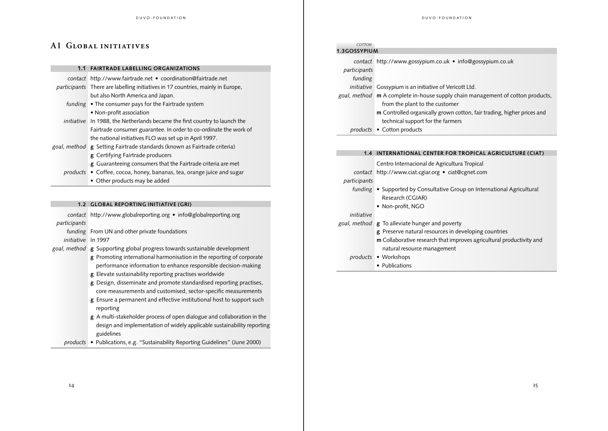# A1 GLOBAL INITIATIVES

#### **1.1 FAIRTRADE LABELLING ORGANIZATIONS**

- *contact* http://www.fairtrade.net coordination@fairtrade.net *participants* There are labelling initiatives in 17 countries, mainly in Europe, but also North America and Japan.
	- *funding* The consumer pays for the Fairtrade system • Non-profit association
- *initiative* In 1988, the Netherlands became the first country to launch the Fairtrade consumer guarantee. In order to co-ordinate the work of the national initiatives FLO was set up in April 1997.
- *goal, method* **g** Setting Fairtrade standards (known as Fairtrade criteria)
	- **g** Certifying Fairtrade producers
	- **g** Guaranteeing consumers that the Fairtrade criteria are met
	- *products* Coffee, cocoa, honey, bananas, tea, orange juice and sugar
		- Other products may be added

#### **1.2 GLOBAL REPORTING INITIATIVE (GRI)**

*contact* http://www.globalreporting.org • info@globalreporting.org *participants*

*funding* From UN and other private foundations *initiative* In 1997

- *goal, method* **g** Supporting global progress towards sustainable development
	- **g** Promoting international harmonisation in the reporting of corporate performance information to enhance responsible decision-making **g** Elevate sustainability reporting practises worldwide
	- **g** Design, disseminate and promote standardised reporting practises, core measurements and customised, sector-specific measurements
	- **g** Ensure a permanent and effective institutional host to support such reporting
	- **g** A multi-stakeholder process of open dialogue and collaboration in the design and implementation of widely applicable sustainability reporting guidelines
	- *products* Publications, e.g. "Sustainability Reporting Guidelines" (June 2000)

| DUVO-FOUNDATION |
|-----------------|
|                 |

| COTTON       |                                                                                |
|--------------|--------------------------------------------------------------------------------|
| 1.3GOSSYPIUM |                                                                                |
| participants | contact http://www.gossypium.co.uk • info@gossypium.co.uk                      |
| funding      |                                                                                |
| initiative   | Gossypium is an initiative of Vericott Ltd.                                    |
|              | goal, method m A complete in-house supply chain management of cotton products, |
|              | from the plant to the customer                                                 |
|              | <b>m</b> Controlled organically grown cotton, fair trading, higher prices and  |
|              | technical support for the farmers                                              |
| products     | • Cotton products                                                              |

#### **1.4 INTERNATIONAL CENTER FOR TROPICAL AGRICULTURE (CIAT)**

Centro Internacional de Agricultura Tropical

*contact* http://www.ciat.cgiar.org • ciat@cgnet.com

*participants*

- *funding* Supported by Consultative Group on International Agricultural Research (CGIAR)
	- Non-profit, NGO

## *initiative*

*goal, method* **g** To alleviate hunger and poverty

- **g** Preserve natural resources in developing countries
- **m** Collaborative research that improves agricultural productivity and natural resource management

#### *products* • Workshops

• Publications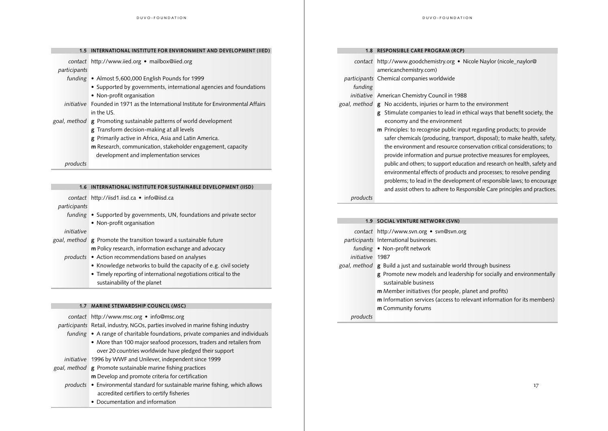**1.5 INTERNATIONAL INSTITUTE FOR ENVIRONMENT AND DEVELOPMENT (IIED)**

|              | contact http://www.iied.org • mailbox@iied.org                                      |
|--------------|-------------------------------------------------------------------------------------|
| participants |                                                                                     |
|              | funding • Almost 5,600,000 English Pounds for 1999                                  |
|              | • Supported by governments, international agencies and foundations                  |
|              | • Non-profit organisation                                                           |
|              | initiative Founded in 1971 as the International Institute for Environmental Affairs |
|              | in the US.                                                                          |
|              | goal, method <b>g</b> Promoting sustainable patterns of world development           |
|              | <b>g</b> Transform decision-making at all levels                                    |
|              | g Primarily active in Africa, Asia and Latin America.                               |
|              | m Research, communication, stakeholder engagement, capacity                         |
|              | development and implementation services                                             |
|              |                                                                                     |

*products*

#### **1.6 INTERNATIONAL INSTITUTE FOR SUSTAINABLE DEVELOPMENT (IISD)**

*contact* http://iisd1.iisd.ca • info@iisd.ca

#### *participants*

*funding* • Supported by governments, UN, foundations and private sector • Non-profit organisation

#### *initiative*

- *goal, method* **g** Promote the transition toward a sustainable future
	- **m** Policy research, information exchange and advocacy

#### *products* • Action recommendations based on analyses

- Knowledge networks to build the capacity of e.g. civil society
- Timely reporting of international negotiations critical to the sustainability of the planet

#### **1.7 MARINE STEWARDSHIP COUNCIL (MSC)**

*contact* http://www.msc.org • info@msc.org

*participants* Retail, industry, NGOs, parties involved in marine fishing industry

- *funding* A range of charitable foundations, private companies and individuals
	- More than 100 major seafood processors, traders and retailers from over 20 countries worldwide have pledged their support

*initiative* 1996 by WWF and Unilever, independent since 1999

- *goal, method* **g** Promote sustainable marine fishing practices **m** Develop and promote criteria for certification
	- *products* Environmental standard for sustainable marine fishing, which allows accredited certifiers to certify fisheries
		- Documentation and information

#### **1.8 RESPONSIBLE CARE PROGRAM (RCP)**

|                 | contact http://www.goodchemistry.org • Nicole Naylor (nicole_naylor@<br>americanchemistry.com)                                                                                                                                                                                                                                                                                                                                                                                                                                                                                                                       |
|-----------------|----------------------------------------------------------------------------------------------------------------------------------------------------------------------------------------------------------------------------------------------------------------------------------------------------------------------------------------------------------------------------------------------------------------------------------------------------------------------------------------------------------------------------------------------------------------------------------------------------------------------|
|                 | participants Chemical companies worldwide                                                                                                                                                                                                                                                                                                                                                                                                                                                                                                                                                                            |
| funding         |                                                                                                                                                                                                                                                                                                                                                                                                                                                                                                                                                                                                                      |
|                 | initiative American Chemistry Council in 1988                                                                                                                                                                                                                                                                                                                                                                                                                                                                                                                                                                        |
|                 | goal, method <b>g</b> No accidents, injuries or harm to the environment                                                                                                                                                                                                                                                                                                                                                                                                                                                                                                                                              |
|                 | g Stimulate companies to lead in ethical ways that benefit society, the<br>economy and the environment                                                                                                                                                                                                                                                                                                                                                                                                                                                                                                               |
|                 | <b>m</b> Principles: to recognise public input regarding products; to provide<br>safer chemicals (producing, transport, disposal); to make health, safety,<br>the environment and resource conservation critical considerations; to<br>provide information and pursue protective measures for employees,<br>public and others; to support education and research on health, safety and<br>environmental effects of products and processes; to resolve pending<br>problems; to lead in the development of responsible laws; to encourage<br>and assist others to adhere to Responsible Care principles and practices. |
| products        |                                                                                                                                                                                                                                                                                                                                                                                                                                                                                                                                                                                                                      |
|                 | 1.9 SOCIAL VENTURE NETWORK (SVN)                                                                                                                                                                                                                                                                                                                                                                                                                                                                                                                                                                                     |
|                 |                                                                                                                                                                                                                                                                                                                                                                                                                                                                                                                                                                                                                      |
|                 | contact http://www.svn.org • svn@svn.org                                                                                                                                                                                                                                                                                                                                                                                                                                                                                                                                                                             |
|                 | participants International businesses.                                                                                                                                                                                                                                                                                                                                                                                                                                                                                                                                                                               |
|                 | funding • Non-profit network                                                                                                                                                                                                                                                                                                                                                                                                                                                                                                                                                                                         |
| initiative 1987 |                                                                                                                                                                                                                                                                                                                                                                                                                                                                                                                                                                                                                      |
|                 | goal, method g Build a just and sustainable world through business                                                                                                                                                                                                                                                                                                                                                                                                                                                                                                                                                   |

- **g** Promote new models and leadership for socially and environmentally sustainable business
- **m** Member initiatives (for people, planet and profits)
- **m** Information services (access to relevant information for its members) **m** Community forums

*products*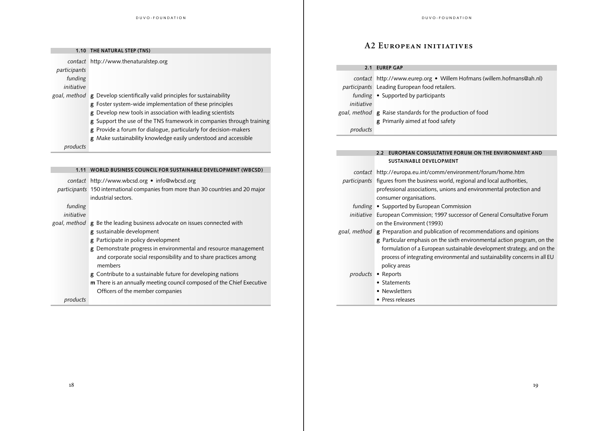| 1.10         | THE NATURAL STEP (TNS)                                               |
|--------------|----------------------------------------------------------------------|
|              | contact http://www.thenaturalstep.org                                |
| participants |                                                                      |
| funding      |                                                                      |
| initiative   |                                                                      |
| goal, method | <b>g</b> Develop scientifically valid principles for sustainability  |
|              | g Foster system-wide implementation of these principles              |
|              | g Develop new tools in association with leading scientists           |
|              | g Support the use of the TNS framework in companies through training |
|              | g Provide a forum for dialogue, particularly for decision-makers     |
|              | g Make sustainability knowledge easily understood and accessible     |
| products     |                                                                      |

| 1.11 WORLD BUSINESS COUNCIL FOR SUSTAINABLE DEVELOPMENT (WBCSD) |
|-----------------------------------------------------------------|
| contact http://www.wbcsd.org • info@wbcsd.org                   |

*participants* 150 international companies from more than 30 countries and 20 major industrial sectors.

| funding    |                                                                                 |
|------------|---------------------------------------------------------------------------------|
| initiative |                                                                                 |
|            | goal, method <b>g</b> Be the leading business advocate on issues connected with |
|            | g sustainable development                                                       |
|            | g Participate in policy development                                             |
|            | g Demonstrate progress in environmental and resource management                 |
|            | and corporate social responsibility and to share practices among                |
|            | members                                                                         |
|            | <b>g</b> Contribute to a sustainable future for developing nations              |
|            | <b>m</b> There is an annually meeting council composed of the Chief Executive   |
|            | Officers of the member companies                                                |
| products   |                                                                                 |

# **A2 EUROPEAN INITIATIVES**

#### **2.1 EUREP GAP**

|            | contact http://www.eurep.org • Willem Hofmans (willem.hofmans@ah.nl) |
|------------|----------------------------------------------------------------------|
|            | participants Leading European food retailers.                        |
|            | funding $\bullet$ Supported by participants                          |
| initiative |                                                                      |
|            | goal, method <b>g</b> Raise standards for the production of food     |
|            | g Primarily aimed at food safety                                     |
| products   |                                                                      |
|            |                                                                      |

#### **2.2 EUROPEAN CONSULTATIVE FORUM ON THE ENVIRONMENT AND SUSTAINABLE DEVELOPMENT**

|            | contact http://europa.eu.int/comm/environment/forum/home.htm                      |  |
|------------|-----------------------------------------------------------------------------------|--|
|            | participants figures from the business world, regional and local authorities,     |  |
|            | professional associations, unions and environmental protection and                |  |
|            | consumer organisations.                                                           |  |
|            | funding • Supported by European Commission                                        |  |
| initiative | European Commission; 1997 successor of General Consultative Forum                 |  |
|            | on the Environment (1993)                                                         |  |
|            | goal, method <b>g</b> Preparation and publication of recommendations and opinions |  |
|            | $g$ Particular emphasis on the sixth environmental action program, on the         |  |
|            | formulation of a European sustainable development strategy, and on the            |  |
|            | process of integrating environmental and sustainability concerns in all EU        |  |
|            | policy areas                                                                      |  |
|            | products • Reports                                                                |  |
|            | • Statements                                                                      |  |
|            | • Newsletters                                                                     |  |
|            |                                                                                   |  |

• Press releases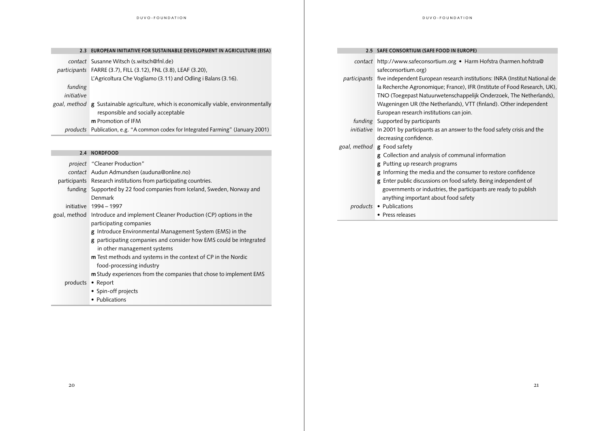|                       | 2.3 EUROPEAN INITIATIVE FOR SUSTAINABLE DEVELOPMENT IN AGRICULTURE (EISA)                                                                          |
|-----------------------|----------------------------------------------------------------------------------------------------------------------------------------------------|
|                       | <i>contact</i> Susanne Witsch (s.witsch@fnl.de)<br>participants FARRE (3.7), FILL (3.12), FNL (3.8), LEAF (3.20),                                  |
|                       | L'Agricoltura Che Vogliamo (3.11) and Odling i Balans (3.16).                                                                                      |
| funding<br>initiative |                                                                                                                                                    |
|                       | goal, method g Sustainable agriculture, which is economically viable, environmentally<br>responsible and socially acceptable<br>m Promotion of IFM |

*products* Publication, e.g. "A common codex for Integrated Farming" (January 2001)

#### **2.4 NORDFOOD**

- *project* "Cleaner Production"
- *contact* Audun Admundsen (auduna@online.no)
- participants Research institutions from participating countries.
	- funding Supported by 22 food companies from Iceland, Sweden, Norway and Denmark
	- initiative 1994 1997
- goal, method Introduce and implement Cleaner Production (CP) options in the participating companies
	- **g** Introduce Environmental Management System (EMS) in the
	- **g** participating companies and consider how EMS could be integrated in other management systems
	- **m** Test methods and systems in the context of CP in the Nordic food-processing industry
	- **m** Study experiences from the companies that chose to implement EMS
	- products Report
		- Spin-off projects
		- Publications

#### **2.5 SAFE CONSORTIUM (SAFE FOOD IN EUROPE)**

|            | contact http://www.safeconsortium.org • Harm Hofstra (harmen.hofstra@                    |  |  |
|------------|------------------------------------------------------------------------------------------|--|--|
|            | safeconsortium.org)                                                                      |  |  |
|            | participants five independent European research institutions: INRA (Institut National de |  |  |
|            | la Recherche Agronomique; France), IFR (Institute of Food Research, UK),                 |  |  |
|            | TNO (Toegepast Natuurwetenschappelijk Onderzoek, The Netherlands),                       |  |  |
|            | Wageningen UR (the Netherlands), VTT (finland). Other independent                        |  |  |
|            | European research institutions can join.                                                 |  |  |
|            | <i>funding</i> Supported by participants                                                 |  |  |
| initiative | In 2001 by participants as an answer to the food safety crisis and the                   |  |  |
|            | decreasing confidence.                                                                   |  |  |
|            | goal, method <b>g</b> Food safety                                                        |  |  |
|            | <b>g</b> Collection and analysis of communal information                                 |  |  |
|            | <b>g</b> Putting up research programs                                                    |  |  |
|            | <b>g</b> Informing the media and the consumer to restore confidence                      |  |  |
|            | g Enter public discussions on food safety. Being independent of                          |  |  |
|            | governments or industries, the participants are ready to publish                         |  |  |
|            | anything important about food safety                                                     |  |  |
|            | products • Publications                                                                  |  |  |
|            | • Press releases                                                                         |  |  |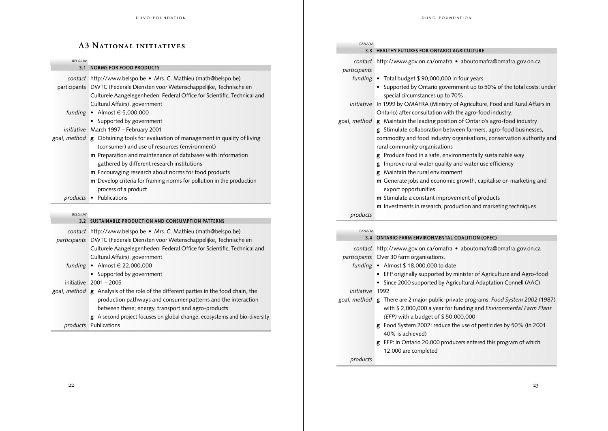| <b>A3 NATIONAL INITIATIVES</b> |                                                                                                                                                                                                                                                                                                                                                                                                             |  |  |
|--------------------------------|-------------------------------------------------------------------------------------------------------------------------------------------------------------------------------------------------------------------------------------------------------------------------------------------------------------------------------------------------------------------------------------------------------------|--|--|
| <b>BELGIUM</b>                 |                                                                                                                                                                                                                                                                                                                                                                                                             |  |  |
| 3.1                            | <b>NORMS FOR FOOD PRODUCTS</b>                                                                                                                                                                                                                                                                                                                                                                              |  |  |
|                                | contact http://www.belspo.be • Mrs. C. Mathieu (math@belspo.be)<br>participants DWTC (Federale Diensten voor Wetenschappelijke, Technische en<br>Culturele Aangelegenheden: Federal Office for Scientific, Technical and<br>Cultural Affairs), government                                                                                                                                                   |  |  |
|                                | funding • Almost $\in$ 5,000,000<br>• Supported by government                                                                                                                                                                                                                                                                                                                                               |  |  |
|                                | initiative March 1997 - February 2001                                                                                                                                                                                                                                                                                                                                                                       |  |  |
|                                | goal, method <b>g</b> Obtaining tools for evaluation of management in quality of living<br>(consumer) and use of resources (environment)<br><b>m</b> Preparation and maintenance of databases with information<br>gathered by different research institutions<br><b>m</b> Encouraging research about norms for food products<br><b>m</b> Develop criteria for framing norms for pollution in the production |  |  |
|                                |                                                                                                                                                                                                                                                                                                                                                                                                             |  |  |
|                                | process of a product<br>products • Publications                                                                                                                                                                                                                                                                                                                                                             |  |  |
| <b>BEI GIUM</b>                |                                                                                                                                                                                                                                                                                                                                                                                                             |  |  |

#### **3.2 SUSTAINABLE PRODUCTION AND CONSUMPTION PATTERNS**

*contact* http://www.belspo.be • Mrs. C. Mathieu (math@belspo.be)

- *participants* DWTC (Federale Diensten voor Wetenschappelijke, Technische en Culturele Aangelegenheden: Federal Office for Scientific, Technical and Cultural Affairs), government
	- *funding* Almost € 22,000,000
		- Supported by government

initiative 2001 – 2005

- *goal, method* **g** Analysis of the role of the different parties in the food chain, the production pathways and consumer patterns and the interaction between these; energy, transport and agro-products
	- **g** A second project focuses on global change, ecosystems and bio-diversity *products* Publications

| CANADA       |                                                                                     |
|--------------|-------------------------------------------------------------------------------------|
| 3.3          | <b>HEALTHY FUTURES FOR ONTARIO AGRICULTURE</b>                                      |
|              | contact http://www.gov.on.ca/omafra • aboutomafra@omafra.gov.on.ca                  |
| participants |                                                                                     |
|              | funding • Total budget \$90,000,000 in four years                                   |
|              | • Supported by Ontario government up to 50% of the total costs; under               |
|              | special circumstances up to 70%.                                                    |
|              | initiative In 1999 by OMAFRA (Ministry of Agriculture, Food and Rural Affairs in    |
|              | Ontario) after consultation with the agro-food industry.                            |
|              | goal, method <b>g</b> Maintain the leading position of Ontario's agro-food industry |
|              | Stimulate collaboration between farmers, agro-food businesses,<br>2                 |
|              | commodity and food industry organisations, conservation authority and               |
|              | rural community organisations                                                       |
|              | Produce food in a safe, environmentally sustainable way<br>ε                        |
|              | Improve rural water quality and water use efficiency<br>g                           |
|              | Maintain the rural environment<br>g                                                 |
|              | <b>m</b> Generate jobs and economic growth, capitalise on marketing and             |
|              | export opportunities                                                                |
|              | <b>m</b> Stimulate a constant improvement of products                               |
|              | <b>m</b> Investments in research, production and marketing techniques               |
| products     |                                                                                     |
|              |                                                                                     |

*CHEMICAL INDUSTRY CANADA*

#### **3.4 ONTARIO FARM ENVIRONMENTAL COALITION (OFEC)**

*contact* http://www.gov.on.ca/omafra • aboutomafra@omafra.gov.on.ca *participants* Over 30 farm organisations.

- *funding* Almost \$ 18,000,000 to date
	- EFP originally supported by minister of Agriculture and Agro-food
	- Since 2000 supported by Agricultural Adaptation Connell (AAC)

#### *initiative* 1992

- *goal, method* **g** There are 2 major public-private programs: *Food System 2002* (1987) with \$ 2,000,000 a year for funding and *Environmental Farm Plans (EFP)* with a budget of \$ 50,000,000
	- **g** Food System 2002: reduce the use of pesticides by 50% (in 2001 40% is achieved)
	- **g** EFP: in Ontario 20,000 producers entered this program of which 12,000 are completed

*products*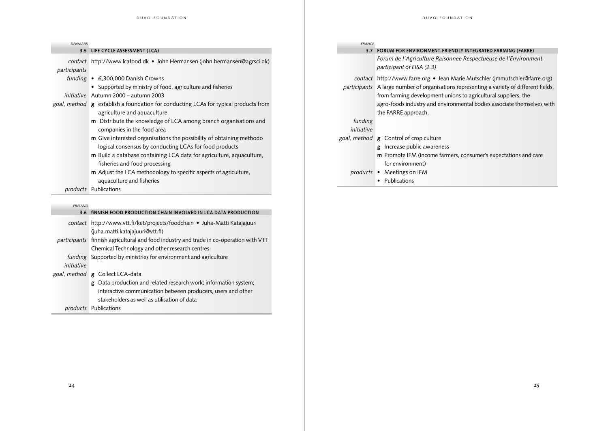| <b>DENMARK</b> |                                                                                                                                                            | <b>FRANCE</b>         |                                                                                                                                                                         |
|----------------|------------------------------------------------------------------------------------------------------------------------------------------------------------|-----------------------|-------------------------------------------------------------------------------------------------------------------------------------------------------------------------|
|                | 3.5 LIFE CYCLE ASSESSMENT (LCA)                                                                                                                            |                       | 3.7 FORUM FOR ENVIRONMENT-FRIENDLY INTEGRATED FARMING (FARRE)                                                                                                           |
| participants   | contact http://www.lcafood.dk • John Hermansen (john.hermansen@agrsci.dk)                                                                                  |                       | Forum de l'Agriculture Raisonnee Respectueuse de l'Environment<br>participant of EISA (2.3)                                                                             |
|                | funding • 6,300,000 Danish Crowns<br>• Supported by ministry of food, agriculture and fisheries                                                            |                       | contact http://www.farre.org • Jean Marie Mutschler (jmmutschler@farre.org)<br>participants A large number of organisations representing a variety of different fields, |
|                | initiative Autumn 2000 - autumn 2003<br>goal, method g establish a foundation for conducting LCAs for typical products from<br>agriculture and aquaculture |                       | from farming development unions to agricultural suppliers, the<br>agro-foods industry and environmental bodies associate themselves with<br>the FARRE approach.         |
|                | m Distribute the knowledge of LCA among branch organisations and<br>companies in the food area                                                             | funding<br>initiative |                                                                                                                                                                         |
|                | m Give interested organisations the possibility of obtaining methodo<br>logical consensus by conducting LCAs for food products                             |                       | goal, method g Control of crop culture<br>g Increase public awareness                                                                                                   |
|                | m Build a database containing LCA data for agriculture, aquaculture,<br>fisheries and food processing                                                      |                       | m Promote IFM (income farmers, consumer's expectations and care<br>for environment)                                                                                     |
|                | m Adjust the LCA methodology to specific aspects of agriculture,<br>aquaculture and fisheries                                                              |                       | products • Meetings on IFM<br>• Publications                                                                                                                            |
|                | products Publications                                                                                                                                      |                       |                                                                                                                                                                         |
| <b>FINLAND</b> |                                                                                                                                                            |                       |                                                                                                                                                                         |
|                | 3.6 finnish FOOD PRODUCTION CHAIN INVOLVED IN LCA DATA PRODUCTION                                                                                          |                       |                                                                                                                                                                         |
|                | contact http://www.vtt.fi/ket/projects/foodchain • Juha-Matti Katajajuuri<br>(juha.matti.katajajuuri@vtt.fi)                                               |                       |                                                                                                                                                                         |
|                | participants finnish agricultural and food industry and trade in co-operation with VTT<br>Chemical Technology and other research centres.                  |                       |                                                                                                                                                                         |
| initiative     | funding Supported by ministries for environment and agriculture                                                                                            |                       |                                                                                                                                                                         |
|                | goal, method <b>g</b> Collect LCA-data                                                                                                                     |                       |                                                                                                                                                                         |
|                | g Data production and related research work; information system;                                                                                           |                       |                                                                                                                                                                         |
|                | interactive communication between producers, users and other                                                                                               |                       |                                                                                                                                                                         |
|                | stakeholders as well as utilisation of data                                                                                                                |                       |                                                                                                                                                                         |

*products* Publications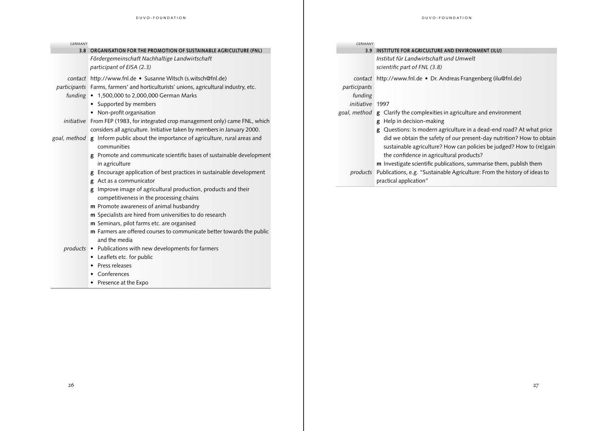| <b>GERMANY</b> |                                                                                       | <b>GERMANY</b>  |                                                                                    |
|----------------|---------------------------------------------------------------------------------------|-----------------|------------------------------------------------------------------------------------|
|                | 3.8 ORGANISATION FOR THE PROMOTION OF SUSTAINABLE AGRICULTURE (FNL)                   |                 | 3.9 INSTITUTE FOR AGRICULTURE AND ENVIRONMENT (ILU)                                |
|                | Fördergemeinschaft Nachhaltige Landwirtschaft                                         |                 | Institut für Landwirtschaft und Umwelt                                             |
|                | participant of EISA (2.3)                                                             |                 | scientific part of FNL (3.8)                                                       |
|                | contact http://www.fnl.de • Susanne Witsch (s.witsch@fnl.de)                          |                 | contact http://www.fnl.de • Dr. Andreas Frangenberg (ilu@fnl.de)                   |
|                | participants Farms, farmers' and horticulturists' unions, agricultural industry, etc. | participants    |                                                                                    |
|                | funding • 1,500,000 to 2,000,000 German Marks                                         | funding         |                                                                                    |
|                | • Supported by members                                                                | initiative 1997 |                                                                                    |
|                | • Non-profit organisation                                                             |                 | goal, method <b>g</b> Clarify the complexities in agriculture and environment      |
|                | initiative From FEP (1983, for integrated crop management only) came FNL, which       |                 | g Help in decision-making                                                          |
|                | considers all agriculture. Initiative taken by members in January 2000.               |                 | g Questions: Is modern agriculture in a dead-end road? At what price               |
|                | goal, method g Inform public about the importance of agriculture, rural areas and     |                 | did we obtain the safety of our present-day nutrition? How to obtain               |
|                | communities                                                                           |                 | sustainable agriculture? How can policies be judged? How to (re)gain               |
|                | g Promote and communicate scientific bases of sustainable development                 |                 | the confidence in agricultural products?                                           |
|                | in agriculture                                                                        |                 | m Investigate scientific publications, summarise them, publish them                |
|                | g Encourage application of best practices in sustainable development                  |                 | products Publications, e.g. "Sustainable Agriculture: From the history of ideas to |
|                | Act as a communicator<br>g                                                            |                 | practical application"                                                             |
|                | <b>g</b> Improve image of agricultural production, products and their                 |                 |                                                                                    |
|                | competitiveness in the processing chains                                              |                 |                                                                                    |
|                | <b>m</b> Promote awareness of animal husbandry                                        |                 |                                                                                    |
|                | m Specialists are hired from universities to do research                              |                 |                                                                                    |
|                | m Seminars, pilot farms etc. are organised                                            |                 |                                                                                    |
|                | m Farmers are offered courses to communicate better towards the public                |                 |                                                                                    |
|                | and the media                                                                         |                 |                                                                                    |
|                | products . Publications with new developments for farmers                             |                 |                                                                                    |
|                | • Leaflets etc. for public                                                            |                 |                                                                                    |

• Press releases • Conferences • Presence at the Expo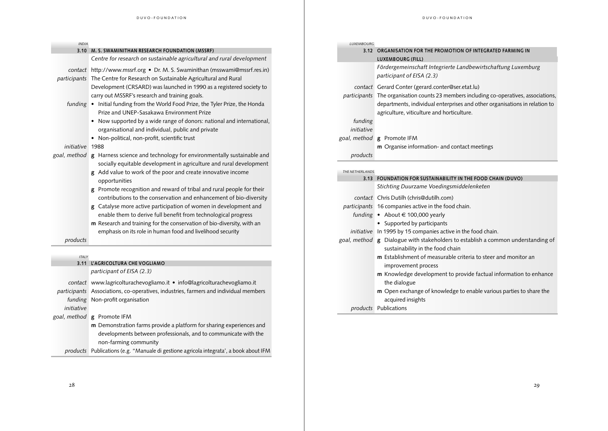| <i><b>INDIA</b></i> |  |
|---------------------|--|
|                     |  |

|  |  | 3.10 M. S. SWAMINITHAN RESEARCH FOUNDATION (MSSRF) |
|--|--|----------------------------------------------------|
|--|--|----------------------------------------------------|

- *contact* http://www.mssrf.org Dr. M. S. Swaminithan (msswami@mssrf.res.in)
- *participants* The Centre for Research on Sustainable Agricultural and Rural Development (CRSARD) was launched in 1990 as a registered society to carry out MSSRF's research and training goals.
	- *funding* Initial funding from the World Food Prize, the Tyler Prize, the Honda Prize and UNEP-Sasakawa Environment Prize
		- Now supported by a wide range of donors: national and international, organisational and individual, public and private
		- Non-political, non-profit, scientific trust

#### *initiative* 1988

- *goal, method* **g** Harness science and technology for environmentally sustainable and socially equitable development in agriculture and rural development
	- **g** Add value to work of the poor and create innovative income opportunities
	- **g** Promote recognition and reward of tribal and rural people for their contributions to the conservation and enhancement of bio-diversity
	- **g** Catalyse more active participation of women in development and enable them to derive full benefit from technological progress
	- **m** Research and training for the conservation of bio-diversity, with an emphasis on its role in human food and livelihood security

*products*

#### *ITALY*

#### **3.11 L'AGRICOLTURA CHE VOGLIAMO**

*participant of EISA (2.3)*

*contact* www.lagricolturachevogliamo.it • info@lagricolturachevogliamo.it

*participants* Associations, co-operatives, industries, farmers and individual members *funding* Non-profit organisation

*initiative*

- *goal, method* **g** Promote IFM
	- **m** Demonstration farms provide a platform for sharing experiences and developments between professionals, and to communicate with the non-farming community
	- *products* Publications (e.g. "Manuale di gestione agricola integrata', a book about IFM

| <b>INDIA</b>           |                                                                                                                                                           | LUXEMBOURG |                                                                                           |
|------------------------|-----------------------------------------------------------------------------------------------------------------------------------------------------------|------------|-------------------------------------------------------------------------------------------|
|                        | 3.10 M. S. SWAMINITHAN RESEARCH FOUNDATION (MSSRF)                                                                                                        | 3.12       | ORGANISATION FOR THE PROMOTION OF INTEGRATED FARMING IN                                   |
|                        | Centre for research on sustainable agricultural and rural development                                                                                     |            | LUXEMBOURG (FILL)                                                                         |
|                        | contact http://www.mssrf.org • Dr. M. S. Swaminithan (msswami@mssrf.res.in)<br>participants The Centre for Research on Sustainable Agricultural and Rural |            | Fördergemeinschaft Integrierte Landbewirtschaftung Luxemburg<br>participant of EISA (2.3) |
|                        | Development (CRSARD) was launched in 1990 as a registered society to                                                                                      |            | contact Gerard Conter (gerard.conter@ser.etat.lu)                                         |
|                        | carry out MSSRF's research and training goals.                                                                                                            |            | participants The organisation counts 23 members including co-operatives, associations,    |
| funding $\bullet$      | Initial funding from the World Food Prize, the Tyler Prize, the Honda                                                                                     |            | departments, individual enterprises and other organisations in relation to                |
|                        | Prize and UNEP-Sasakawa Environment Prize                                                                                                                 |            | agriculture, viticulture and horticulture.                                                |
|                        | • Now supported by a wide range of donors: national and international,                                                                                    | funding    |                                                                                           |
|                        | organisational and individual, public and private                                                                                                         | initiative |                                                                                           |
|                        | • Non-political, non-profit, scientific trust                                                                                                             |            | goal, method <b>g</b> Promote IFM                                                         |
| <i>initiative</i> 1988 |                                                                                                                                                           |            | <b>m</b> Organise information- and contact meetings                                       |
|                        | goal, method g Harness science and technology for environmentally sustainable and<br>socially equitable development in agriculture and rural development  | products   |                                                                                           |

| THE NETHERI ANDS |                                                                                  |  |  |
|------------------|----------------------------------------------------------------------------------|--|--|
| 3.13             | FOUNDATION FOR SUSTAINABILITY IN THE FOOD CHAIN (DUVO)                           |  |  |
|                  | Stichting Duurzame Voedingsmiddelenketen                                         |  |  |
|                  | contact Chris Dutilh (chris@dutilh.com)                                          |  |  |
|                  | <i>participants</i> 16 companies active in the food chain.                       |  |  |
|                  | funding • About $\in$ 100,000 yearly                                             |  |  |
|                  | • Supported by participants                                                      |  |  |
|                  | <i>initiative</i> In 1995 by 15 companies active in the food chain.              |  |  |
|                  | goal, method g Dialogue with stakeholders to establish a common understanding of |  |  |
|                  | sustainability in the food chain                                                 |  |  |
|                  | <b>m</b> Establishment of measurable criteria to steer and monitor an            |  |  |
|                  | improvement process                                                              |  |  |
|                  | <b>m</b> Knowledge development to provide factual information to enhance         |  |  |
|                  | the dialogue                                                                     |  |  |
|                  | <b>m</b> Open exchange of knowledge to enable various parties to share the       |  |  |
|                  | acquired insights                                                                |  |  |
|                  | <i>products</i> Publications                                                     |  |  |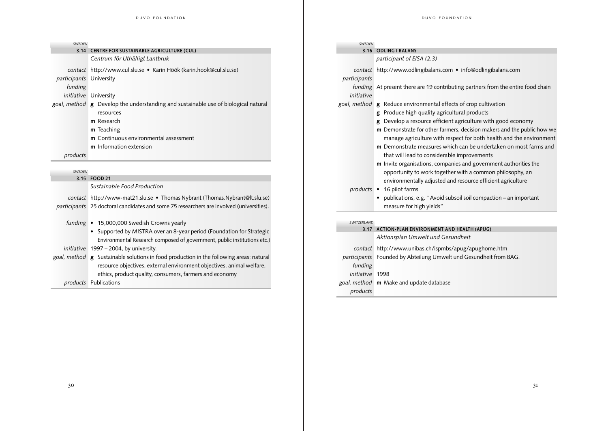| <b>SWEDEN</b>           |                                                                                          | SWEDEN       |                                                                                  |
|-------------------------|------------------------------------------------------------------------------------------|--------------|----------------------------------------------------------------------------------|
|                         | 3.14 CENTRE FOR SUSTAINABLE AGRICULTURE (CUL)                                            |              | 3.16 ODLING I BALANS                                                             |
|                         | Centrum för Uthålligt Lantbruk                                                           |              | participant of EISA (2.3)                                                        |
|                         | contact http://www.cul.slu.se • Karin Höök (karin.hook@cul.slu.se)                       |              | contact http://www.odlingibalans.com · info@odlingibalans.com                    |
| participants University |                                                                                          | participants |                                                                                  |
| funding                 |                                                                                          |              | funding At present there are 19 contributing partners from the entire food chain |
|                         | initiative University                                                                    | initiative   |                                                                                  |
|                         | goal, method g Develop the understanding and sustainable use of biological natural       | goal, method | g Reduce environmental effects of crop cultivation                               |
|                         | resources                                                                                |              | g Produce high quality agricultural products                                     |
|                         | m Research                                                                               |              | g Develop a resource efficient agriculture with good economy                     |
|                         | m Teaching                                                                               |              | m Demonstrate for other farmers, decision makers and the public how we           |
|                         | <b>m</b> Continuous environmental assessment                                             |              | manage agriculture with respect for both health and the environment              |
|                         | m Information extension                                                                  |              | <b>m</b> Demonstrate measures which can be undertaken on most farms and          |
| products                |                                                                                          |              | that will lead to considerable improvements                                      |
|                         |                                                                                          |              | <b>m</b> Invite organisations, companies and government authorities the          |
| <b>SWEDEN</b>           |                                                                                          |              | opportunity to work together with a common philosophy, an                        |
|                         | 3.15 FOOD 21                                                                             |              | environmentally adjusted and resource efficient agriculture                      |
|                         | Sustainable Food Production                                                              |              | products • 16 pilot farms                                                        |
|                         | contact http://www-mat21.slu.se • Thomas Nybrant (Thomas.Nybrant@lt.slu.se)              |              | • publications, e.g. "Avoid subsoil soil compaction - an important               |
|                         | participants 25 doctoral candidates and some 75 researchers are involved (universities). |              | measure for high yields"                                                         |
|                         | funding • 15,000,000 Swedish Crowns yearly                                               | SWITZERLAND  |                                                                                  |
|                         | • Supported by MISTRA over an 8-year period (Foundation for Strategic                    |              | 3.17 ACTION-PLAN ENVIRONMENT AND HEALTH (APUG)                                   |
|                         | Environmental Research composed of government, public institutions etc.)                 |              | Aktionsplan Umwelt und Gesundheit                                                |
|                         | initiative 1997 - 2004, by university.                                                   |              | contact http://www.unibas.ch/ispmbs/apug/apughome.htm                            |
|                         | goal, method g Sustainable solutions in food production in the following areas: natural  |              | participants Founded by Abteilung Umwelt und Gesundheit from BAG.                |

*funding initiative* 1998

*products*

*goal, method* **m** Make and update database

*goal, method* **g** Sustainable solutions in food production in the following areas: natural resource objectives, external environment objectives, animal welfare, ethics, product quality, consumers, farmers and economy

*products* Publications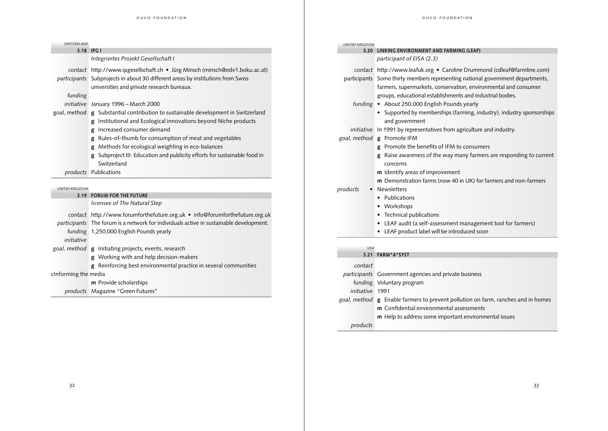| SWITZERLAND           |                                                                                        | <b>UNITED KINGDOM</b> |                                                                                  |
|-----------------------|----------------------------------------------------------------------------------------|-----------------------|----------------------------------------------------------------------------------|
|                       | 3.18 IPG I                                                                             |                       | 3.20 LINKING ENVIRONMENT AND FARMING (LEAF)                                      |
|                       | Integriertes Projekt Gesellschaft I                                                    |                       | participant of EISA (2.3)                                                        |
|                       | contact http://www.ipgesellschaft.ch • Jürg Minsch (minsch@edv1.boku.ac.at)            |                       | contact http://www.leafuk.org • Caroline Drummond (cdleaf@farmline.com)          |
|                       | participants Subprojects in about 30 different areas by institutions from Swiss        |                       | participants Some thirty members representing national government departments,   |
|                       | universities and private research bureaux.                                             |                       | farmers, supermarkets, conservation, environmental and consumer                  |
| funding               |                                                                                        |                       | groups, educational establishments and industrial bodies.                        |
|                       | initiative January 1996 - March 2000                                                   |                       | funding • About 250,000 English Pounds yearly                                    |
|                       | goal, method g Substantial contribution to sustainable development in Switzerland      |                       | • Supported by memberships (farming, industry), industry sponsorships            |
|                       | g Institutional and Ecological innovations beyond Niche products                       |                       | and government                                                                   |
|                       | g Increased consumer demand                                                            |                       | initiative In 1991 by representatives from agriculture and industry.             |
|                       | g Rules-of-thumb for consumption of meat and vegetables                                |                       | goal, method g Promote IFM                                                       |
|                       | g Methods for ecological weighting in eco-balances                                     |                       | g Promote the benefits of IFM to consumers                                       |
|                       | g Subproject III: Education and publicity efforts for sustainable food in              |                       | Raise awareness of the way many farmers are responding to current                |
|                       | Switzerland                                                                            |                       | concerns                                                                         |
|                       | products Publications                                                                  |                       | m Identify areas of improvement                                                  |
|                       |                                                                                        |                       | m Demonstration farms (now 40 in UK) for farmers and non-farmers                 |
| <b>UNITED KINGDOM</b> |                                                                                        | products              | • Newsletters                                                                    |
|                       | 3.19 FORUM FOR THE FUTURE                                                              |                       | • Publications                                                                   |
|                       | licensee of The Natural Step                                                           |                       | • Workshops                                                                      |
|                       | contact http://www.forumforthefuture.org.uk • info@forumforthefuture.org.uk            |                       | • Technical publications                                                         |
|                       | participants The forum is a network for individuals active in sustainable development. |                       | • LEAF audit (a self-assessment management tool for farmers)                     |
|                       | funding 1,250,000 English Pounds yearly                                                |                       | • LEAF product label will be introduced soon                                     |
| initiative            |                                                                                        |                       |                                                                                  |
|                       | goal, method <b>g</b> Initiating projects, events, research                            | <b>USA</b>            |                                                                                  |
|                       | g Working with and help decision-makers                                                |                       | 3.21 FARM*A*SYST                                                                 |
|                       | g Reinforcing best environmental practice in several communities                       | contact               |                                                                                  |
| cInforming the media  |                                                                                        |                       | participants Government agencies and private business                            |
|                       | <b>m</b> Provide scholarships                                                          |                       | funding Voluntary program                                                        |
|                       | products Magazine "Green Futures"                                                      | initiative 1991       |                                                                                  |
|                       |                                                                                        |                       | goal, method g Enable farmers to prevent pollution on farm, ranches and in homes |

**m** Confidential environmental assessments

**m** Help to address some important environmental issues

*products*

 $\frac{32}{1}$